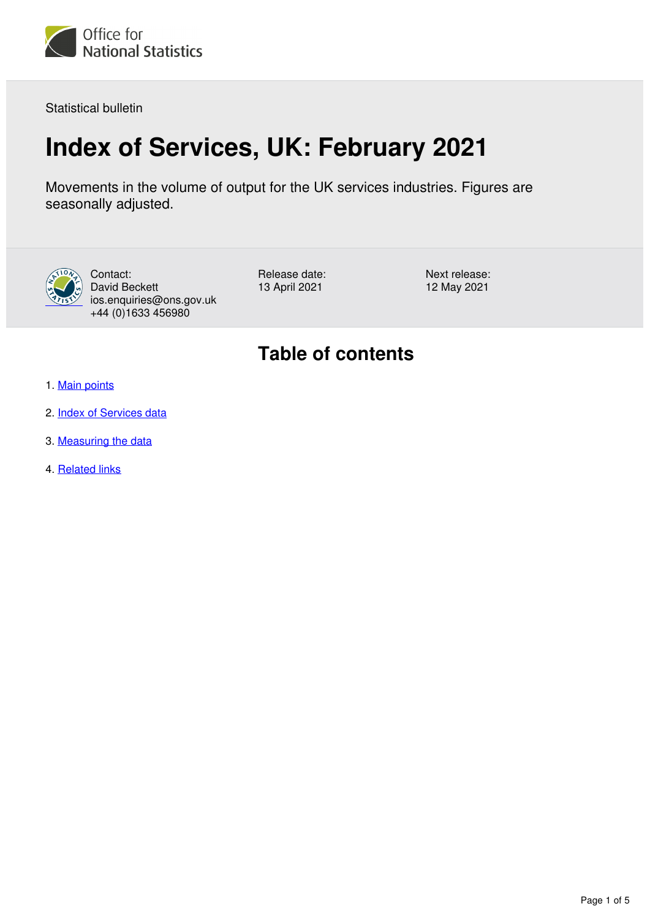

Statistical bulletin

# **Index of Services, UK: February 2021**

Movements in the volume of output for the UK services industries. Figures are seasonally adjusted.



Contact: David Beckett ios.enquiries@ons.gov.uk +44 (0)1633 456980

Release date: 13 April 2021

Next release: 12 May 2021

## **Table of contents**

- 1. [Main points](#page-1-0)
- 2. [Index of Services data](#page-1-1)
- 3. [Measuring the data](#page-1-2)
- 4. [Related links](#page-4-0)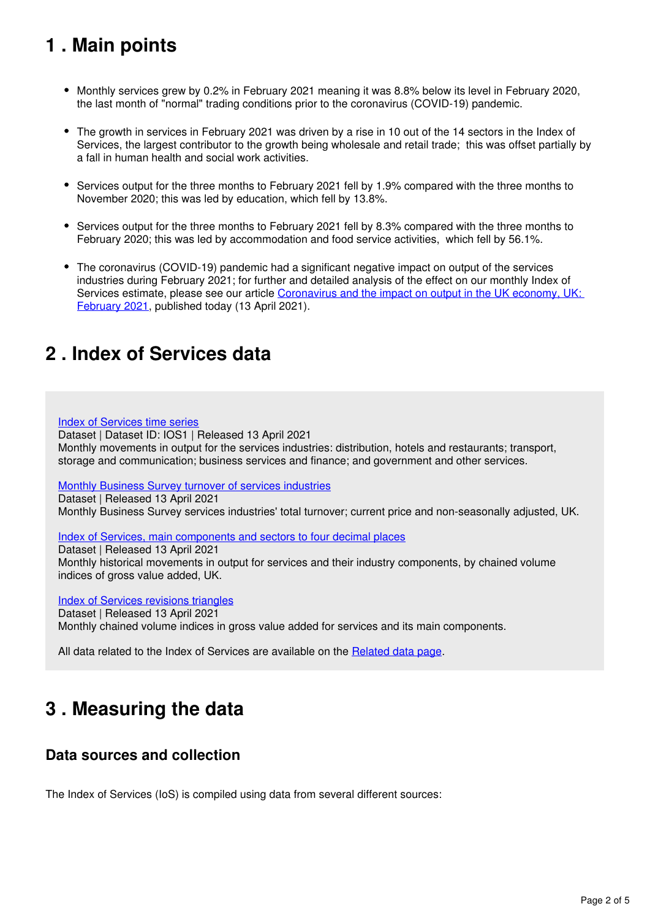## <span id="page-1-0"></span>**1 . Main points**

- Monthly services grew by 0.2% in February 2021 meaning it was 8.8% below its level in February 2020, the last month of "normal" trading conditions prior to the coronavirus (COVID-19) pandemic.
- The growth in services in February 2021 was driven by a rise in 10 out of the 14 sectors in the Index of Services, the largest contributor to the growth being wholesale and retail trade; this was offset partially by a fall in human health and social work activities.
- Services output for the three months to February 2021 fell by 1.9% compared with the three months to November 2020; this was led by education, which fell by 13.8%.
- Services output for the three months to February 2021 fell by 8.3% compared with the three months to February 2020; this was led by accommodation and food service activities, which fell by 56.1%.
- The coronavirus (COVID-19) pandemic had a significant negative impact on output of the services industries during February 2021; for further and detailed analysis of the effect on our monthly Index of Services estimate, please see our article Coronavirus and the impact on output in the UK economy, UK: [February 2021](https://www.ons.gov.uk/economy/grossdomesticproductgdp/articles/coronavirusandtheimpactonoutputintheukeconomy/february2021), published today (13 April 2021).

### <span id="page-1-1"></span>**2 . Index of Services data**

[Index of Services time series](https://www.ons.gov.uk/economy/economicoutputandproductivity/output/datasets/indexofservices) Dataset | Dataset ID: IOS1 | Released 13 April 2021 Monthly movements in output for the services industries: distribution, hotels and restaurants; transport, storage and communication; business services and finance; and government and other services.

[Monthly Business Survey turnover of services industries](https://www.ons.gov.uk/economy/economicoutputandproductivity/output/datasets/monthlybusinesssurveymbsturnoverofservicesindustries)

Dataset | Released 13 April 2021 Monthly Business Survey services industries' total turnover; current price and non-seasonally adjusted, UK.

[Index of Services, main components and sectors to four decimal places](https://www.ons.gov.uk/economy/economicoutputandproductivity/output/datasets/indexofservicesandmaincomponentsto4dp)

Dataset | Released 13 April 2021 Monthly historical movements in output for services and their industry components, by chained volume indices of gross value added, UK.

[Index of Services revisions triangles](https://www.ons.gov.uk/economy/economicoutputandproductivity/output/datasets/indexofservicesrevisionstriangles)

Dataset | Released 13 April 2021 Monthly chained volume indices in gross value added for services and its main components.

All data related to the Index of Services are available on the Related data page.

## <span id="page-1-2"></span>**3 . Measuring the data**

### **Data sources and collection**

The Index of Services (IoS) is compiled using data from several different sources: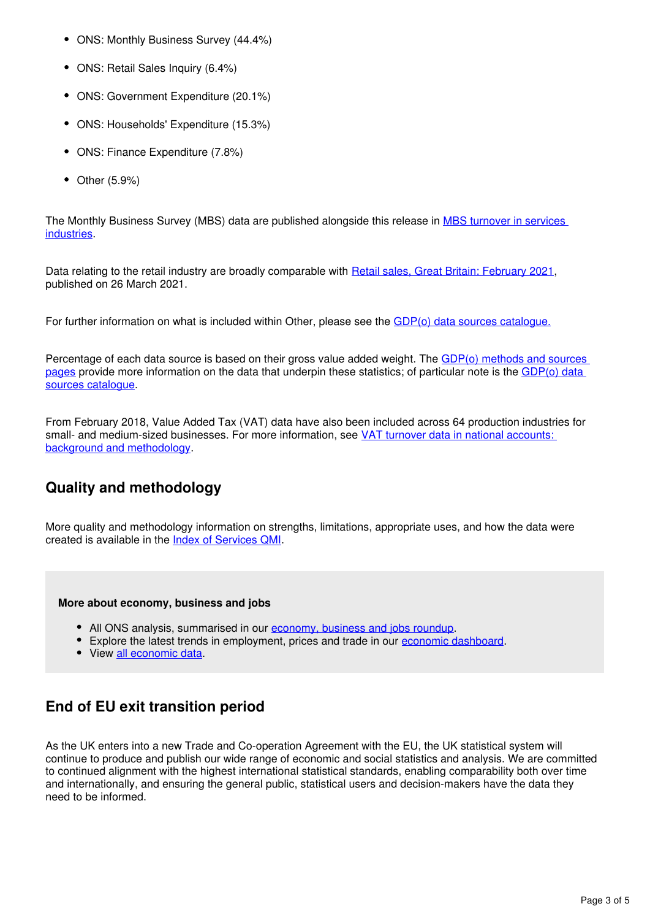- ONS: Monthly Business Survey (44.4%)
- ONS: Retail Sales Inquiry (6.4%)
- ONS: Government Expenditure (20.1%)
- ONS: Households' Expenditure (15.3%)
- ONS: Finance Expenditure (7.8%)
- $\bullet$ Other (5.9%)

The Monthly Business Survey (MBS) data are published alongside this release in [MBS turnover in services](https://www.ons.gov.uk/economy/economicoutputandproductivity/output/datasets/monthlybusinesssurveymbsturnoverofservicesindustries)  [industries.](https://www.ons.gov.uk/economy/economicoutputandproductivity/output/datasets/monthlybusinesssurveymbsturnoverofservicesindustries)

Data relating to the retail industry are broadly comparable with [Retail sales, Great Britain: February 2021,](https://www.ons.gov.uk/businessindustryandtrade/retailindustry/bulletins/retailsales/february2021) published on 26 March 2021.

For further information on what is included within Other, please see the [GDP\(o\) data sources catalogue.](https://www.ons.gov.uk/economy/grossdomesticproductgdp/datasets/gdpodatasourcescatalogue)

Percentage of each data source is based on their gross value added weight. The [GDP\(o\) methods and sources](https://www.ons.gov.uk/economy/economicoutputandproductivity/output/methodologies/indexofservicesios)  [pages](https://www.ons.gov.uk/economy/economicoutputandproductivity/output/methodologies/indexofservicesios) provide more information on the data that underpin these statistics; of particular note is the [GDP\(o\) data](https://www.ons.gov.uk/economy/grossdomesticproductgdp/datasets/gdpodatasourcescatalogue)  [sources catalogue.](https://www.ons.gov.uk/economy/grossdomesticproductgdp/datasets/gdpodatasourcescatalogue)

From February 2018, Value Added Tax (VAT) data have also been included across 64 production industries for small- and medium-sized businesses. For more information, see [VAT turnover data in national accounts:](https://www.ons.gov.uk/economy/grossdomesticproductgdp/methodologies/vatturnoverdatainnationalaccountsbackgroundandmethodology)  [background and methodology.](https://www.ons.gov.uk/economy/grossdomesticproductgdp/methodologies/vatturnoverdatainnationalaccountsbackgroundandmethodology)

### **Quality and methodology**

More quality and methodology information on strengths, limitations, appropriate uses, and how the data were created is available in the Index of Services QMI.

#### **More about economy, business and jobs**

- All ONS analysis, summarised in our [economy, business and jobs roundup.](https://www.ons.gov.uk/economy/economicoutputandproductivity/output/articles/ukeconomylatest/2021-01-25)
- Explore the latest trends in employment, prices and trade in our economic dashboard[.](https://www.ons.gov.uk/economy/nationalaccounts/articles/dashboardunderstandingtheukeconomy/2017-02-22)
- $\bullet$  View all economic data.

### **End of EU exit transition period**

As the UK enters into a new Trade and Co-operation Agreement with the EU, the UK statistical system will continue to produce and publish our wide range of economic and social statistics and analysis. We are committed to continued alignment with the highest international statistical standards, enabling comparability both over time and internationally, and ensuring the general public, statistical users and decision-makers have the data they need to be informed.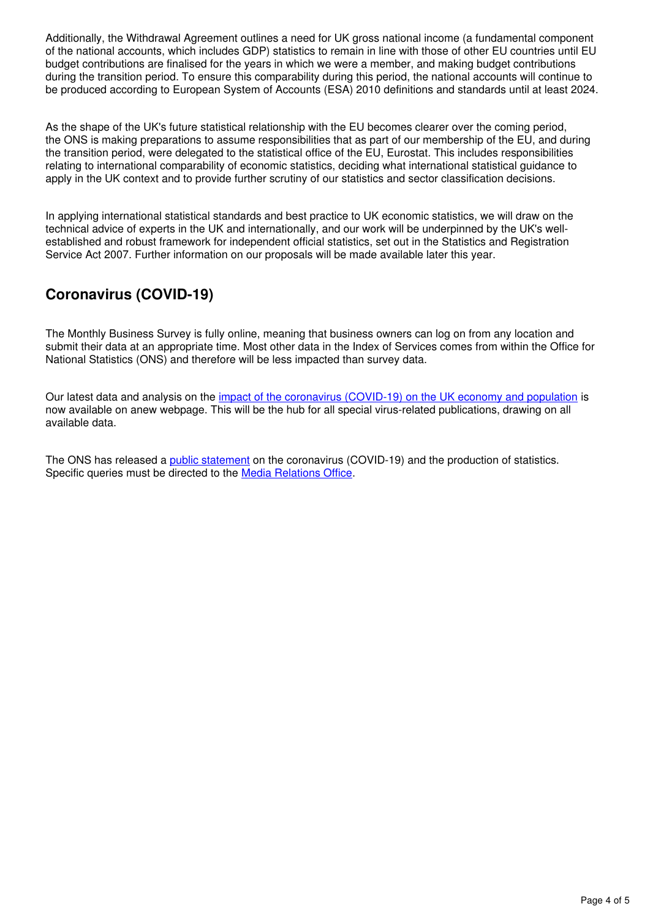Additionally, the Withdrawal Agreement outlines a need for UK gross national income (a fundamental component of the national accounts, which includes GDP) statistics to remain in line with those of other EU countries until EU budget contributions are finalised for the years in which we were a member, and making budget contributions during the transition period. To ensure this comparability during this period, the national accounts will continue to be produced according to European System of Accounts (ESA) 2010 definitions and standards until at least 2024.

As the shape of the UK's future statistical relationship with the EU becomes clearer over the coming period, the ONS is making preparations to assume responsibilities that as part of our membership of the EU, and during the transition period, were delegated to the statistical office of the EU, Eurostat. This includes responsibilities relating to international comparability of economic statistics, deciding what international statistical guidance to apply in the UK context and to provide further scrutiny of our statistics and sector classification decisions.

In applying international statistical standards and best practice to UK economic statistics, we will draw on the technical advice of experts in the UK and internationally, and our work will be underpinned by the UK's wellestablished and robust framework for independent official statistics, set out in the Statistics and Registration Service Act 2007. Further information on our proposals will be made available later this year.

### **Coronavirus (COVID-19)**

The Monthly Business Survey is fully online, meaning that business owners can log on from any location and submit their data at an appropriate time. Most other data in the Index of Services comes from within the Office for National Statistics (ONS) and therefore will be less impacted than survey data.

Our latest data and analysis on the [impact of the coronavirus \(COVID-19\) on the UK economy and population](https://www.ons.gov.uk/peoplepopulationandcommunity/healthandsocialcare/conditionsanddiseases) is now available on anew webpage. This will be the hub for all special virus-related publications, drawing on all available data.

The ONS has released a *[public statement](https://www.ons.gov.uk/news/statementsandletters/covid19andtheproductionofstatistics)* on the coronavirus (COVID-19) and the production of statistics. Specific queries must be directed to the Media Relations Office.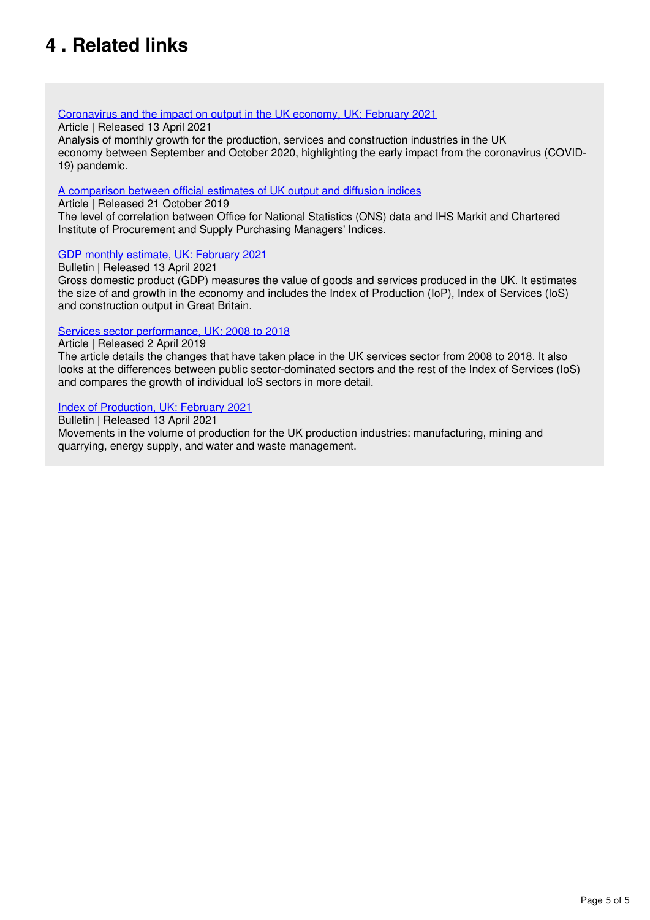## <span id="page-4-0"></span>**4 . Related links**

### [Coronavirus and the impact on output in the UK economy, UK: February 2021](https://www.ons.gov.uk/economy/grossdomesticproductgdp/articles/coronavirusandtheimpactonoutputintheukeconomy/february2021)

#### Article | Released 13 April 2021

Analysis of monthly growth for the production, services and construction industries in the UK economy between September and October 2020, highlighting the early impact from the coronavirus (COVID-19) pandemic.

#### [A comparison between official estimates of UK output and diffusion indices](https://www.ons.gov.uk/economy/nationalaccounts/uksectoraccounts/compendium/economicreview/october2019/comparingonsseconomicdatawithihsmarkitandcipspurchasingmanagersindexsurveys)

Article | Released 21 October 2019

The level of correlation between Office for National Statistics (ONS) data and IHS Markit and Chartered Institute of Procurement and Supply Purchasing Managers' Indices.

### [GDP monthly estimate, UK: February 2021](https://www.ons.gov.uk/economy/grossdomesticproductgdp/bulletins/gdpmonthlyestimateuk/february2021)

Bulletin | Released 13 April 2021

Gross domestic product (GDP) measures the value of goods and services produced in the UK. It estimates the size of and growth in the economy and includes the Index of Production (IoP), Index of Services (IoS) and construction output in Great Britain.

### [Services sector performance, UK: 2008 to 2018](https://www.ons.gov.uk/economy/economicoutputandproductivity/output/articles/servicessectoruk/2008to2018)

#### Article | Released 2 April 2019

The article details the changes that have taken place in the UK services sector from 2008 to 2018. It also looks at the differences between public sector-dominated sectors and the rest of the Index of Services (IoS) and compares the growth of individual IoS sectors in more detail.

#### [Index of Production, UK: February 2021](https://www.ons.gov.uk/economy/economicoutputandproductivity/output/bulletins/indexofproduction/february2021)

Bulletin | Released 13 April 2021

Movements in the volume of production for the UK production industries: manufacturing, mining and quarrying, energy supply, and water and waste management.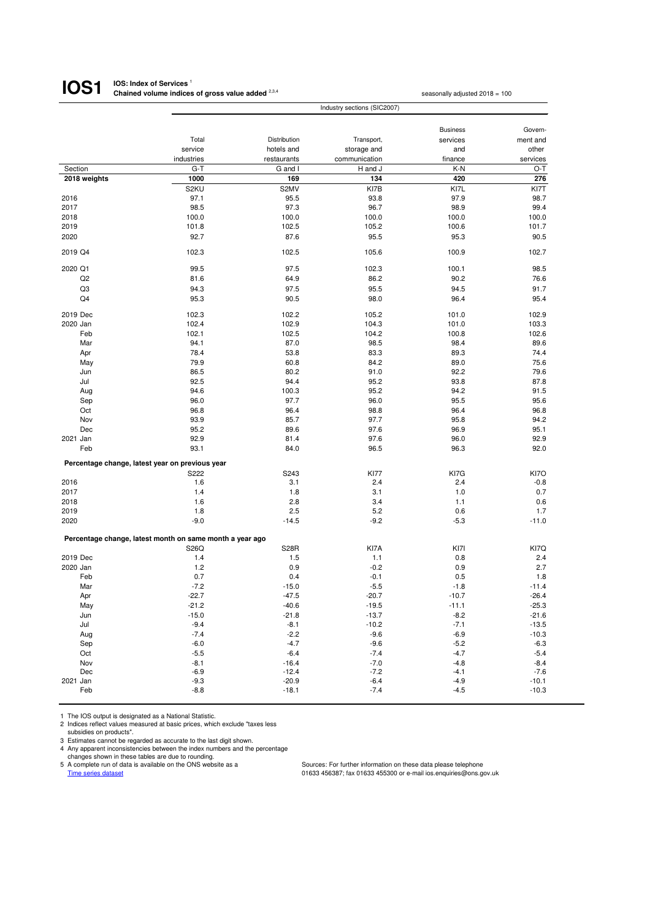#### **IOS: Index of Services**<sup>1</sup> **Chained volume indices of gross value added** <sup>2,3,4</sup> seasonally adjusted 2018 = 100 **IOS1**

|                                                 | Industry sections (SIC2007)                              |              |               |                 |          |  |
|-------------------------------------------------|----------------------------------------------------------|--------------|---------------|-----------------|----------|--|
|                                                 |                                                          |              |               |                 |          |  |
|                                                 |                                                          |              |               | <b>Business</b> | Govern-  |  |
|                                                 | Total                                                    | Distribution | Transport,    | services        | ment and |  |
|                                                 | service                                                  | hotels and   | storage and   | and             | other    |  |
|                                                 | industries                                               | restaurants  | communication | finance         | services |  |
| Section                                         | $G-T$                                                    | G and I      | H and J       | $K-N$           | $O-T$    |  |
| 2018 weights                                    | 1000                                                     | 169          | 134           | 420             | 276      |  |
|                                                 | S2KU                                                     | S2MV         | KI7B          | KI7L            | KI7T     |  |
| 2016                                            | 97.1                                                     | 95.5         | 93.8          | 97.9            | 98.7     |  |
| 2017                                            | 98.5                                                     | 97.3         | 96.7          | 98.9            | 99.4     |  |
| 2018                                            | 100.0                                                    | 100.0        | 100.0         | 100.0           | 100.0    |  |
| 2019                                            | 101.8                                                    | 102.5        | 105.2         | 100.6           | 101.7    |  |
| 2020                                            | 92.7                                                     | 87.6         | 95.5          | 95.3            | 90.5     |  |
| 2019 Q4                                         | 102.3                                                    | 102.5        | 105.6         | 100.9           | 102.7    |  |
| 2020 Q1                                         | 99.5                                                     | 97.5         | 102.3         | 100.1           | 98.5     |  |
| Q2                                              | 81.6                                                     | 64.9         | 86.2          | 90.2            | 76.6     |  |
| Q3                                              | 94.3                                                     | 97.5         | 95.5          | 94.5            | 91.7     |  |
| Q4                                              | 95.3                                                     | 90.5         | 98.0          | 96.4            | 95.4     |  |
| 2019 Dec                                        | 102.3                                                    | 102.2        | 105.2         | 101.0           | 102.9    |  |
| 2020 Jan                                        | 102.4                                                    | 102.9        | 104.3         | 101.0           | 103.3    |  |
| Feb                                             | 102.1                                                    | 102.5        | 104.2         | 100.8           | 102.6    |  |
| Mar                                             | 94.1                                                     | 87.0         | 98.5          | 98.4            | 89.6     |  |
| Apr                                             | 78.4                                                     | 53.8         | 83.3          | 89.3            | 74.4     |  |
| May                                             | 79.9                                                     | 60.8         | 84.2          | 89.0            | 75.6     |  |
| Jun                                             | 86.5                                                     | 80.2         | 91.0          | 92.2            | 79.6     |  |
| Jul                                             | 92.5                                                     | 94.4         | 95.2          | 93.8            | 87.8     |  |
| Aug                                             | 94.6                                                     | 100.3        | 95.2          | 94.2            | 91.5     |  |
| Sep                                             | 96.0                                                     | 97.7         | 96.0          | 95.5            | 95.6     |  |
| Oct                                             | 96.8                                                     | 96.4         | 98.8          | 96.4            | 96.8     |  |
| Nov                                             | 93.9                                                     | 85.7         | 97.7          | 95.8            | 94.2     |  |
|                                                 | 95.2                                                     | 89.6         | 97.6          | 96.9            |          |  |
| Dec                                             |                                                          |              |               |                 | 95.1     |  |
| 2021 Jan                                        | 92.9                                                     | 81.4         | 97.6          | 96.0            | 92.9     |  |
| Feb                                             | 93.1                                                     | 84.0         | 96.5          | 96.3            | 92.0     |  |
| Percentage change, latest year on previous year | S222                                                     | S243         | <b>KI77</b>   | KI7G            | KI7O     |  |
| 2016                                            | 1.6                                                      | 3.1          | 2.4           | 2.4             | $-0.8$   |  |
| 2017                                            | 1.4                                                      | 1.8          | 3.1           | 1.0             | 0.7      |  |
| 2018                                            | 1.6                                                      | 2.8          | 3.4           | 1.1             |          |  |
|                                                 |                                                          |              |               |                 | 0.6      |  |
| 2019                                            | 1.8                                                      | 2.5          | 5.2           | 0.6             | 1.7      |  |
| 2020                                            | $-9.0$                                                   | $-14.5$      | $-9.2$        | $-5.3$          | $-11.0$  |  |
|                                                 | Percentage change, latest month on same month a year ago |              |               |                 |          |  |
|                                                 | S26Q                                                     | <b>S28R</b>  | KI7A          | KI7I            | KI7Q     |  |
| 2019 Dec                                        | 1.4                                                      | 1.5          | $1.1$         | 0.8             | 2.4      |  |
| 2020 Jan                                        | 1.2                                                      | 0.9          | $-0.2$        | 0.9             | 2.7      |  |
| Feb                                             | 0.7                                                      | 0.4          | $-0.1$        | 0.5             | 1.8      |  |
| Mar                                             | $-7.2$                                                   | $-15.0$      | $-5.5$        | $-1.8$          | $-11.4$  |  |
| Apr                                             | $-22.7$                                                  | $-47.5$      | $-20.7$       | $-10.7$         | $-26.4$  |  |
| May                                             | $-21.2$                                                  | $-40.6$      | $-19.5$       | $-11.1$         | $-25.3$  |  |
| Jun                                             | $-15.0$                                                  | $-21.8$      | $-13.7$       | $-8.2$          | $-21.6$  |  |
| Jul                                             | $-9.4$                                                   | $-8.1$       | $-10.2$       | $-7.1$          | $-13.5$  |  |
| Aug                                             | $-7.4$                                                   | $-2.2$       | $-9.6$        | $-6.9$          | $-10.3$  |  |
| Sep                                             | $-6.0$                                                   | $-4.7$       | $-9.6$        | $-5.2$          | $-6.3$   |  |
| Oct                                             | $-5.5$                                                   | $-6.4$       | $-7.4$        | $-4.7$          | $-5.4$   |  |
| Nov                                             | $-8.1$                                                   | $-16.4$      | $-7.0$        | $-4.8$          | $-8.4$   |  |
| Dec                                             | $-6.9$                                                   | $-12.4$      | $-7.2$        | $-4.1$          | $-7.6$   |  |
| 2021 Jan                                        | $-9.3$                                                   | $-20.9$      | $-6.4$        | $-4.9$          | $-10.1$  |  |
| Feb                                             | $-8.8$                                                   | $-18.1$      | $-7.4$        | $-4.5$          | $-10.3$  |  |

1 The IOS output is designated as a National Statistic.

2 Indices reflect values measured at basic prices, which exclude "taxes less subsidies on products".

3 Estimates cannot be regarded as accurate to the last digit shown.

4 Any apparent inconsistencies between the index numbers and the percentage

changes shown in these tables are due to rounding.<br>5 A complete run of data is available on the ONS website as a A complete run of data is available on the ONS website as a Sources: For further information on these data please telephone<br>
Time series dataset<br>
Time series dataset

 $01633$  456387; fax 01633 455300 or e-mail ios.enquiries@ons.gov.uk